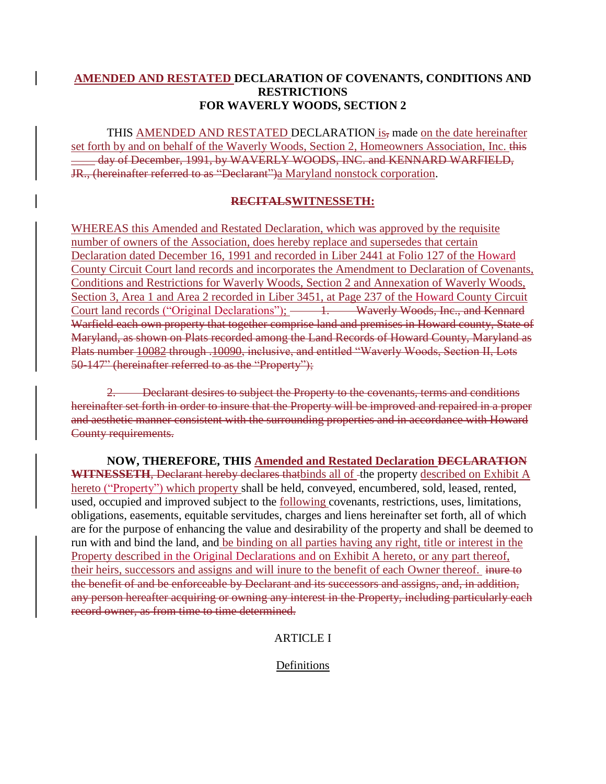### **AMENDED AND RESTATED DECLARATION OF COVENANTS, CONDITIONS AND RESTRICTIONS FOR WAVERLY WOODS, SECTION 2**

THIS AMENDED AND RESTATED DECLARATION is, made on the date hereinafter set forth by and on behalf of the Waverly Woods, Section 2, Homeowners Association, Inc. this day of December, 1991, by WAVERLY WOODS, INC. and KENNARD WARFIELD, JR., (hereinafter referred to as "Declarant")a Maryland nonstock corporation.

### **RECITALSWITNESSETH:**

WHEREAS this Amended and Restated Declaration, which was approved by the requisite number of owners of the Association, does hereby replace and supersedes that certain Declaration dated December 16, 1991 and recorded in Liber 2441 at Folio 127 of the Howard County Circuit Court land records and incorporates the Amendment to Declaration of Covenants, Conditions and Restrictions for Waverly Woods, Section 2 and Annexation of Waverly Woods, Section 3, Area 1 and Area 2 recorded in Liber 3451, at Page 237 of the Howard County Circuit Court land records ("Original Declarations"); — 1. Waverly Woods, Inc., and Kennard Warfield each own property that together comprise land and premises in Howard county, State of Maryland, as shown on Plats recorded among the Land Records of Howard County, Maryland as Plats number 10082 through .10090, inclusive, and entitled "Waverly Woods, Section II, Lots 50-147" (hereinafter referred to as the "Property");

2. Declarant desires to subject the Property to the covenants, terms and conditions hereinafter set forth in order to insure that the Property will be improved and repaired in a proper and aesthetic manner consistent with the surrounding properties and in accordance with Howard County requirements.

**NOW, THEREFORE, THIS Amended and Restated Declaration DECLARATION**  WITNESSETH, Declarant hereby declares thatbinds all of -the property described on Exhibit A hereto ("Property") which property shall be held, conveyed, encumbered, sold, leased, rented, used, occupied and improved subject to the following covenants, restrictions, uses, limitations, obligations, easements, equitable servitudes, charges and liens hereinafter set forth, all of which are for the purpose of enhancing the value and desirability of the property and shall be deemed to run with and bind the land, and be binding on all parties having any right, title or interest in the Property described in the Original Declarations and on Exhibit A hereto, or any part thereof, their heirs, successors and assigns and will inure to the benefit of each Owner thereof. inure to the benefit of and be enforceable by Declarant and its successors and assigns, and, in addition, any person hereafter acquiring or owning any interest in the Property, including particularly each record owner, as from time to time determined.

### ARTICLE I

Definitions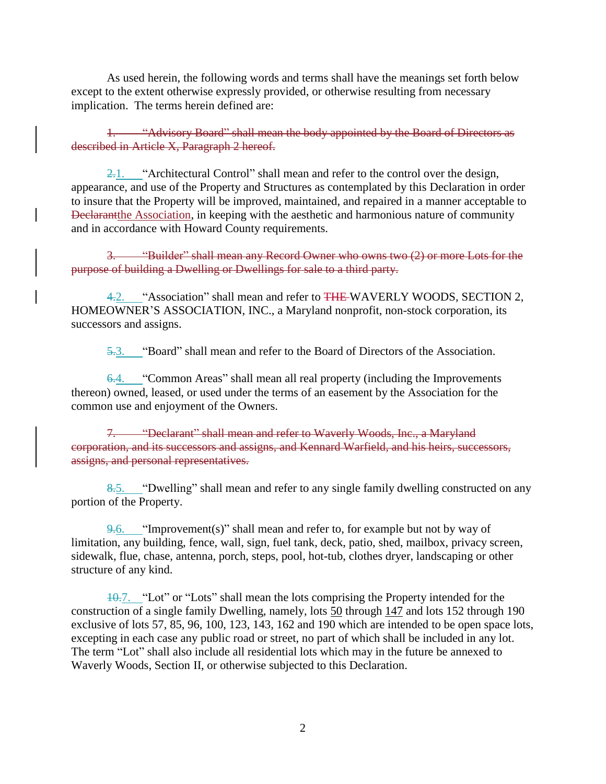As used herein, the following words and terms shall have the meanings set forth below except to the extent otherwise expressly provided, or otherwise resulting from necessary implication. The terms herein defined are:

1. "Advisory Board" shall mean the body appointed by the Board of Directors as described in Article X, Paragraph 2 hereof.

 $\frac{2.1}{2.1}$ . "Architectural Control" shall mean and refer to the control over the design, appearance, and use of the Property and Structures as contemplated by this Declaration in order to insure that the Property will be improved, maintained, and repaired in a manner acceptable to Declarantthe Association, in keeping with the aesthetic and harmonious nature of community and in accordance with Howard County requirements.

3. "Builder" shall mean any Record Owner who owns two (2) or more Lots for the purpose of building a Dwelling or Dwellings for sale to a third party.

4.2. "Association" shall mean and refer to THE WAVERLY WOODS, SECTION 2, HOMEOWNER'S ASSOCIATION, INC., a Maryland nonprofit, non-stock corporation, its successors and assigns.

5.3. "Board" shall mean and refer to the Board of Directors of the Association.

6.4. "Common Areas" shall mean all real property (including the Improvements thereon) owned, leased, or used under the terms of an easement by the Association for the common use and enjoyment of the Owners.

7. "Declarant" shall mean and refer to Waverly Woods, Inc., a Maryland corporation, and its successors and assigns, and Kennard Warfield, and his heirs, successors, assigns, and personal representatives.

8.5. "Dwelling" shall mean and refer to any single family dwelling constructed on any portion of the Property.

 $9.6.$  "Improvement(s)" shall mean and refer to, for example but not by way of limitation, any building, fence, wall, sign, fuel tank, deck, patio, shed, mailbox, privacy screen, sidewalk, flue, chase, antenna, porch, steps, pool, hot-tub, clothes dryer, landscaping or other structure of any kind.

10.7. "Lot" or "Lots" shall mean the lots comprising the Property intended for the construction of a single family Dwelling, namely, lots 50 through 147 and lots 152 through 190 exclusive of lots 57, 85, 96, 100, 123, 143, 162 and 190 which are intended to be open space lots, excepting in each case any public road or street, no part of which shall be included in any lot. The term "Lot" shall also include all residential lots which may in the future be annexed to Waverly Woods, Section II, or otherwise subjected to this Declaration.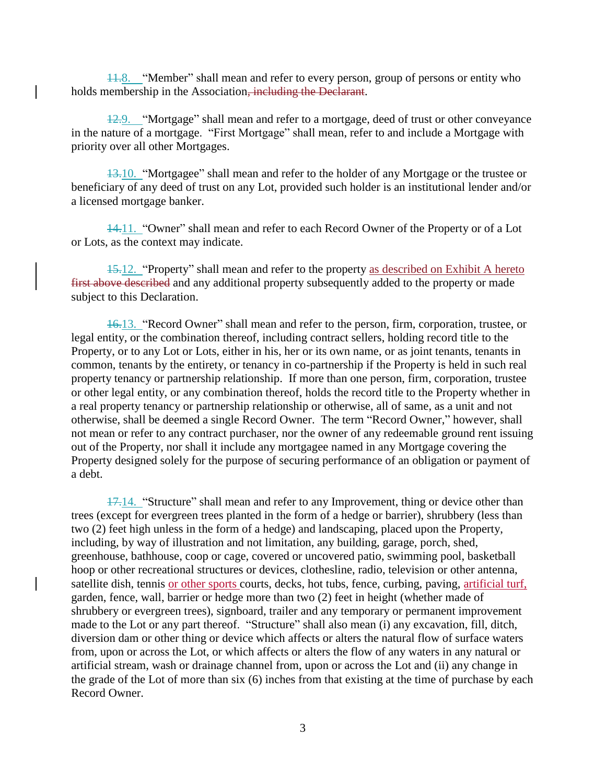11.8. "Member" shall mean and refer to every person, group of persons or entity who holds membership in the Association, including the Declarant.

12.9. "Mortgage" shall mean and refer to a mortgage, deed of trust or other conveyance in the nature of a mortgage. "First Mortgage" shall mean, refer to and include a Mortgage with priority over all other Mortgages.

13.10. "Mortgagee" shall mean and refer to the holder of any Mortgage or the trustee or beneficiary of any deed of trust on any Lot, provided such holder is an institutional lender and/or a licensed mortgage banker.

14.11. "Owner" shall mean and refer to each Record Owner of the Property or of a Lot or Lots, as the context may indicate.

15.12. "Property" shall mean and refer to the property as described on Exhibit A hereto first above described and any additional property subsequently added to the property or made subject to this Declaration.

16.13. "Record Owner" shall mean and refer to the person, firm, corporation, trustee, or legal entity, or the combination thereof, including contract sellers, holding record title to the Property, or to any Lot or Lots, either in his, her or its own name, or as joint tenants, tenants in common, tenants by the entirety, or tenancy in co-partnership if the Property is held in such real property tenancy or partnership relationship. If more than one person, firm, corporation, trustee or other legal entity, or any combination thereof, holds the record title to the Property whether in a real property tenancy or partnership relationship or otherwise, all of same, as a unit and not otherwise, shall be deemed a single Record Owner. The term "Record Owner," however, shall not mean or refer to any contract purchaser, nor the owner of any redeemable ground rent issuing out of the Property, nor shall it include any mortgagee named in any Mortgage covering the Property designed solely for the purpose of securing performance of an obligation or payment of a debt.

17.14. "Structure" shall mean and refer to any Improvement, thing or device other than trees (except for evergreen trees planted in the form of a hedge or barrier), shrubbery (less than two (2) feet high unless in the form of a hedge) and landscaping, placed upon the Property, including, by way of illustration and not limitation, any building, garage, porch, shed, greenhouse, bathhouse, coop or cage, covered or uncovered patio, swimming pool, basketball hoop or other recreational structures or devices, clothesline, radio, television or other antenna, satellite dish, tennis or other sports courts, decks, hot tubs, fence, curbing, paving, artificial turf, garden, fence, wall, barrier or hedge more than two (2) feet in height (whether made of shrubbery or evergreen trees), signboard, trailer and any temporary or permanent improvement made to the Lot or any part thereof. "Structure" shall also mean (i) any excavation, fill, ditch, diversion dam or other thing or device which affects or alters the natural flow of surface waters from, upon or across the Lot, or which affects or alters the flow of any waters in any natural or artificial stream, wash or drainage channel from, upon or across the Lot and (ii) any change in the grade of the Lot of more than six (6) inches from that existing at the time of purchase by each Record Owner.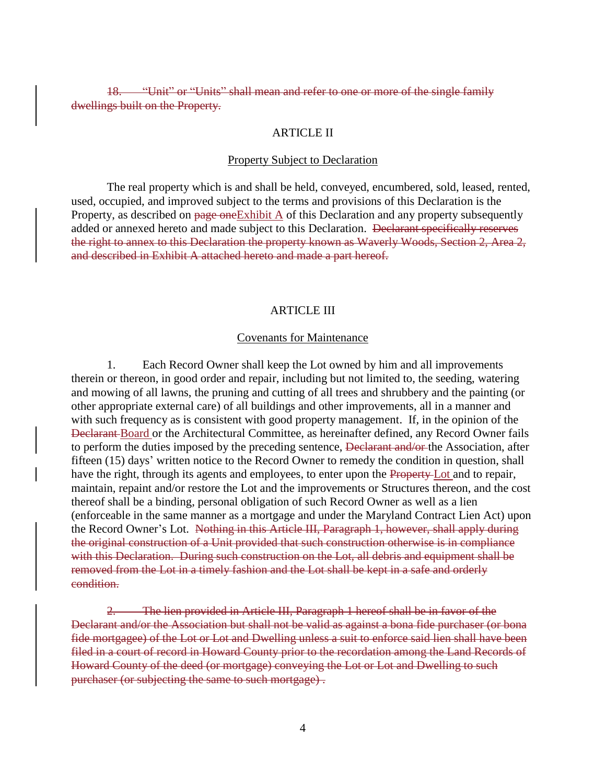"Unit" or "Units" shall mean and refer to one or more of the single family dwellings built on the Property.

#### ARTICLE II

#### Property Subject to Declaration

The real property which is and shall be held, conveyed, encumbered, sold, leased, rented, used, occupied, and improved subject to the terms and provisions of this Declaration is the Property, as described on page one Exhibit A of this Declaration and any property subsequently added or annexed hereto and made subject to this Declaration. <del>Declarant specifically reserves</del> the right to annex to this Declaration the property known as Waverly Woods, Section 2, Area 2, and described in Exhibit A attached hereto and made a part hereof.

#### ARTICLE III

#### Covenants for Maintenance

1. Each Record Owner shall keep the Lot owned by him and all improvements therein or thereon, in good order and repair, including but not limited to, the seeding, watering and mowing of all lawns, the pruning and cutting of all trees and shrubbery and the painting (or other appropriate external care) of all buildings and other improvements, all in a manner and with such frequency as is consistent with good property management. If, in the opinion of the Declarant Board or the Architectural Committee, as hereinafter defined, any Record Owner fails to perform the duties imposed by the preceding sentence, Declarant and/or the Association, after fifteen (15) days' written notice to the Record Owner to remedy the condition in question, shall have the right, through its agents and employees, to enter upon the Property-Lot and to repair, maintain, repaint and/or restore the Lot and the improvements or Structures thereon, and the cost thereof shall be a binding, personal obligation of such Record Owner as well as a lien (enforceable in the same manner as a mortgage and under the Maryland Contract Lien Act) upon the Record Owner's Lot. Nothing in this Article III, Paragraph 1, however, shall apply during the original construction of a Unit provided that such construction otherwise is in compliance with this Declaration. During such construction on the Lot, all debris and equipment shall be removed from the Lot in a timely fashion and the Lot shall be kept in a safe and orderly condition.

2. The lien provided in Article III, Paragraph 1 hereof shall be in favor of the Declarant and/or the Association but shall not be valid as against a bona fide purchaser (or bona fide mortgagee) of the Lot or Lot and Dwelling unless a suit to enforce said lien shall have been filed in a court of record in Howard County prior to the recordation among the Land Records of Howard County of the deed (or mortgage) conveying the Lot or Lot and Dwelling to such purchaser (or subjecting the same to such mortgage) .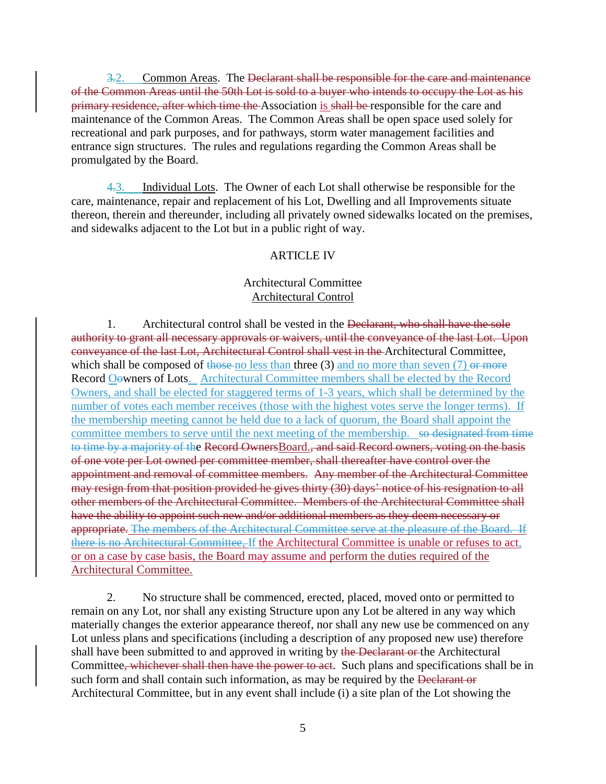3.2. Common Areas. The <del>Declarant shall be responsible for the care and maintenance</del> of the Common Areas until the 50th Lot is sold to a buyer who intends to occupy the Lot as his primary residence, after which time the Association is shall be responsible for the care and maintenance of the Common Areas. The Common Areas shall be open space used solely for recreational and park purposes, and for pathways, storm water management facilities and entrance sign structures. The rules and regulations regarding the Common Areas shall be promulgated by the Board.

4.3. Individual Lots. The Owner of each Lot shall otherwise be responsible for the care, maintenance, repair and replacement of his Lot, Dwelling and all Improvements situate thereon, therein and thereunder, including all privately owned sidewalks located on the premises, and sidewalks adjacent to the Lot but in a public right of way.

### ARTICLE IV

### Architectural Committee Architectural Control

1. Architectural control shall be vested in the Declarant, who shall have the sole authority to grant all necessary approvals or waivers, until the conveyance of the last Lot. Upon conveyance of the last Lot, Architectural Control shall vest in the Architectural Committee, which shall be composed of those no less than three  $(3)$  and no more than seven  $(7)$  or more Record Oowners of Lots. Architectural Committee members shall be elected by the Record Owners, and shall be elected for staggered terms of 1-3 years, which shall be determined by the number of votes each member receives (those with the highest votes serve the longer terms). If the membership meeting cannot be held due to a lack of quorum, the Board shall appoint the committee members to serve until the next meeting of the membership. so designated from time to time by a majority of the Record OwnersBoard., and said Record owners, voting on the basis of one vote per Lot owned per committee member, shall thereafter have control over the appointment and removal of committee members. Any member of the Architectural Committee may resign from that position provided he gives thirty (30) days' notice of his resignation to all other members of the Architectural Committee. Members of the Architectural Committee shall have the ability to appoint such new and/or additional members as they deem necessary or appropriate. The members of the Architectural Committee serve at the pleasure of the Board. If there is no Architectural Committee, If the Architectural Committee is unable or refuses to act, or on a case by case basis, the Board may assume and perform the duties required of the Architectural Committee.

2. No structure shall be commenced, erected, placed, moved onto or permitted to remain on any Lot, nor shall any existing Structure upon any Lot be altered in any way which materially changes the exterior appearance thereof, nor shall any new use be commenced on any Lot unless plans and specifications (including a description of any proposed new use) therefore shall have been submitted to and approved in writing by the Declarant or the Architectural Committee, whichever shall then have the power to act. Such plans and specifications shall be in such form and shall contain such information, as may be required by the Declarant or Architectural Committee, but in any event shall include (i) a site plan of the Lot showing the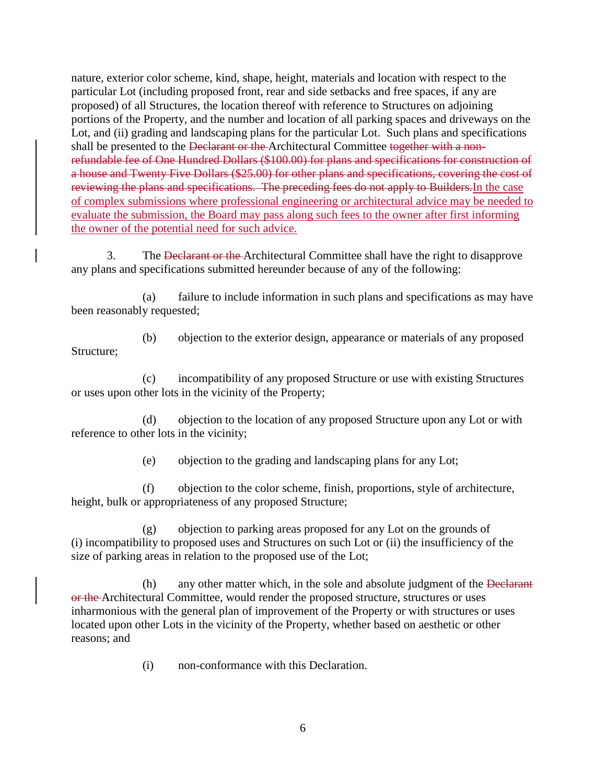nature, exterior color scheme, kind, shape, height, materials and location with respect to the particular Lot (including proposed front, rear and side setbacks and free spaces, if any are proposed) of all Structures, the location thereof with reference to Structures on adjoining portions of the Property, and the number and location of all parking spaces and driveways on the Lot, and (ii) grading and landscaping plans for the particular Lot. Such plans and specifications shall be presented to the Declarant or the Architectural Committee together with a nonrefundable fee of One Hundred Dollars (\$100.00) for plans and specifications for construction of a house and Twenty Five Dollars (\$25.00) for other plans and specifications, covering the cost of reviewing the plans and specifications. The preceding fees do not apply to Builders.In the case of complex submissions where professional engineering or architectural advice may be needed to evaluate the submission, the Board may pass along such fees to the owner after first informing the owner of the potential need for such advice.

3. The Declarant or the Architectural Committee shall have the right to disapprove any plans and specifications submitted hereunder because of any of the following:

(a) failure to include information in such plans and specifications as may have been reasonably requested;

(b) objection to the exterior design, appearance or materials of any proposed Structure;

(c) incompatibility of any proposed Structure or use with existing Structures or uses upon other lots in the vicinity of the Property;

(d) objection to the location of any proposed Structure upon any Lot or with reference to other lots in the vicinity;

(e) objection to the grading and landscaping plans for any Lot;

(f) objection to the color scheme, finish, proportions, style of architecture, height, bulk or appropriateness of any proposed Structure;

(g) objection to parking areas proposed for any Lot on the grounds of (i) incompatibility to proposed uses and Structures on such Lot or (ii) the insufficiency of the size of parking areas in relation to the proposed use of the Lot;

(h) any other matter which, in the sole and absolute judgment of the Declarant or the Architectural Committee, would render the proposed structure, structures or uses inharmonious with the general plan of improvement of the Property or with structures or uses located upon other Lots in the vicinity of the Property, whether based on aesthetic or other reasons; and

(i) non-conformance with this Declaration.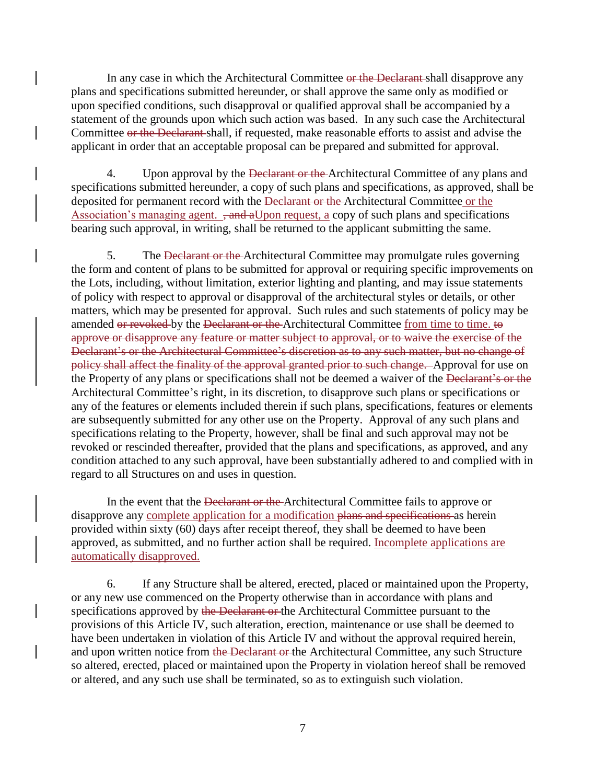In any case in which the Architectural Committee or the Declarant shall disapprove any plans and specifications submitted hereunder, or shall approve the same only as modified or upon specified conditions, such disapproval or qualified approval shall be accompanied by a statement of the grounds upon which such action was based. In any such case the Architectural Committee or the Declarant shall, if requested, make reasonable efforts to assist and advise the applicant in order that an acceptable proposal can be prepared and submitted for approval.

4. Upon approval by the Declarant or the Architectural Committee of any plans and specifications submitted hereunder, a copy of such plans and specifications, as approved, shall be deposited for permanent record with the Declarant or the Architectural Committee or the Association's managing agent.  $\frac{1}{2}$  and aUpon request, a copy of such plans and specifications bearing such approval, in writing, shall be returned to the applicant submitting the same.

5. The Declarant or the Architectural Committee may promulgate rules governing the form and content of plans to be submitted for approval or requiring specific improvements on the Lots, including, without limitation, exterior lighting and planting, and may issue statements of policy with respect to approval or disapproval of the architectural styles or details, or other matters, which may be presented for approval. Such rules and such statements of policy may be amended or revoked by the Declarant or the Architectural Committee from time to time. to approve or disapprove any feature or matter subject to approval, or to waive the exercise of the Declarant's or the Architectural Committee's discretion as to any such matter, but no change of policy shall affect the finality of the approval granted prior to such change. Approval for use on the Property of any plans or specifications shall not be deemed a waiver of the Declarant's or the Architectural Committee's right, in its discretion, to disapprove such plans or specifications or any of the features or elements included therein if such plans, specifications, features or elements are subsequently submitted for any other use on the Property. Approval of any such plans and specifications relating to the Property, however, shall be final and such approval may not be revoked or rescinded thereafter, provided that the plans and specifications, as approved, and any condition attached to any such approval, have been substantially adhered to and complied with in regard to all Structures on and uses in question.

In the event that the Declarant or the Architectural Committee fails to approve or disapprove any complete application for a modification plans and specifications as herein provided within sixty (60) days after receipt thereof, they shall be deemed to have been approved, as submitted, and no further action shall be required. Incomplete applications are automatically disapproved.

6. If any Structure shall be altered, erected, placed or maintained upon the Property, or any new use commenced on the Property otherwise than in accordance with plans and specifications approved by the Declarant or the Architectural Committee pursuant to the provisions of this Article IV, such alteration, erection, maintenance or use shall be deemed to have been undertaken in violation of this Article IV and without the approval required herein, and upon written notice from the Declarant or the Architectural Committee, any such Structure so altered, erected, placed or maintained upon the Property in violation hereof shall be removed or altered, and any such use shall be terminated, so as to extinguish such violation.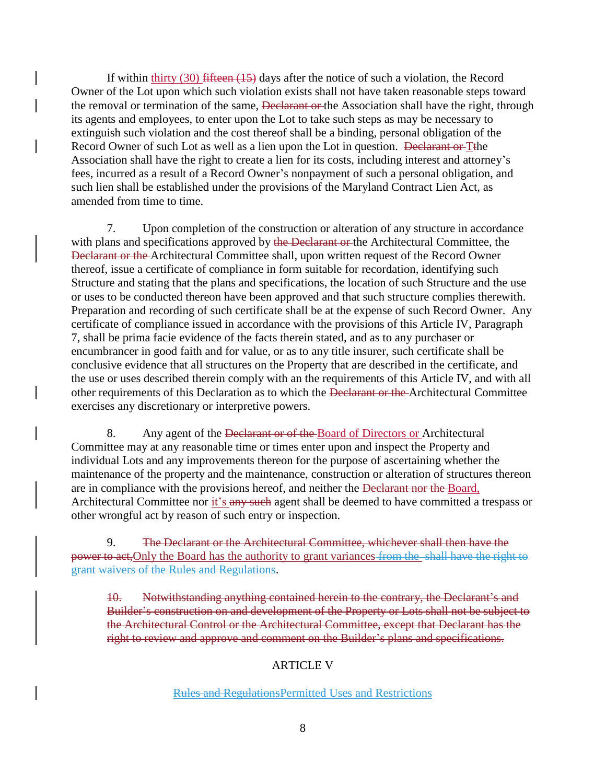If within thirty  $(30)$  fifteen  $(15)$  days after the notice of such a violation, the Record Owner of the Lot upon which such violation exists shall not have taken reasonable steps toward the removal or termination of the same, <del>Declarant or t</del>he Association shall have the right, through its agents and employees, to enter upon the Lot to take such steps as may be necessary to extinguish such violation and the cost thereof shall be a binding, personal obligation of the Record Owner of such Lot as well as a lien upon the Lot in question. <del>Declarant or</del> Tthe Association shall have the right to create a lien for its costs, including interest and attorney's fees, incurred as a result of a Record Owner's nonpayment of such a personal obligation, and such lien shall be established under the provisions of the Maryland Contract Lien Act, as amended from time to time.

7. Upon completion of the construction or alteration of any structure in accordance with plans and specifications approved by the Declarant or the Architectural Committee, the Declarant or the Architectural Committee shall, upon written request of the Record Owner thereof, issue a certificate of compliance in form suitable for recordation, identifying such Structure and stating that the plans and specifications, the location of such Structure and the use or uses to be conducted thereon have been approved and that such structure complies therewith. Preparation and recording of such certificate shall be at the expense of such Record Owner. Any certificate of compliance issued in accordance with the provisions of this Article IV, Paragraph 7, shall be prima facie evidence of the facts therein stated, and as to any purchaser or encumbrancer in good faith and for value, or as to any title insurer, such certificate shall be conclusive evidence that all structures on the Property that are described in the certificate, and the use or uses described therein comply with an the requirements of this Article IV, and with all other requirements of this Declaration as to which the Declarant or the Architectural Committee exercises any discretionary or interpretive powers.

8. Any agent of the <del>Declarant or of the B</del>oard of Directors or Architectural Committee may at any reasonable time or times enter upon and inspect the Property and individual Lots and any improvements thereon for the purpose of ascertaining whether the maintenance of the property and the maintenance, construction or alteration of structures thereon are in compliance with the provisions hereof, and neither the Declarant nor the Board, Architectural Committee nor it's any such agent shall be deemed to have committed a trespass or other wrongful act by reason of such entry or inspection.

9. The Declarant or the Architectural Committee, whichever shall then have the power to act. Only the Board has the authority to grant variances from the shall have the right to grant waivers of the Rules and Regulations.

10. Notwithstanding anything contained herein to the contrary, the Declarant's and Builder's construction on and development of the Property or Lots shall not be subject to the Architectural Control or the Architectural Committee, except that Declarant has the right to review and approve and comment on the Builder's plans and specifications.

### ARTICLE V

#### Rules and RegulationsPermitted Uses and Restrictions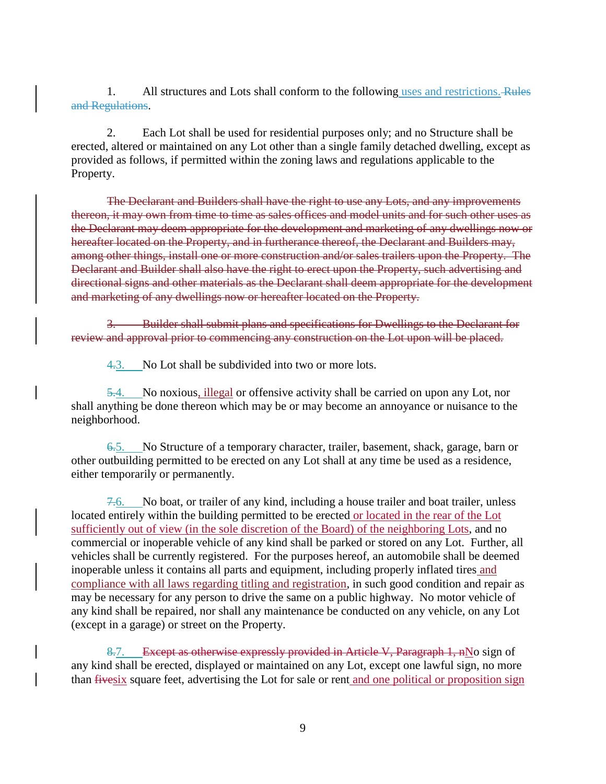1. All structures and Lots shall conform to the following uses and restrictions. Rules and Regulations.

2. Each Lot shall be used for residential purposes only; and no Structure shall be erected, altered or maintained on any Lot other than a single family detached dwelling, except as provided as follows, if permitted within the zoning laws and regulations applicable to the Property.

The Declarant and Builders shall have the right to use any Lots, and any improvements thereon, it may own from time to time as sales offices and model units and for such other uses as the Declarant may deem appropriate for the development and marketing of any dwellings now or hereafter located on the Property, and in furtherance thereof, the Declarant and Builders may, among other things, install one or more construction and/or sales trailers upon the Property. The Declarant and Builder shall also have the right to erect upon the Property, such advertising and directional signs and other materials as the Declarant shall deem appropriate for the development and marketing of any dwellings now or hereafter located on the Property.

3. Builder shall submit plans and specifications for Dwellings to the Declarant for review and approval prior to commencing any construction on the Lot upon will be placed.

4.3. No Lot shall be subdivided into two or more lots.

5.4. No noxious, illegal or offensive activity shall be carried on upon any Lot, nor shall anything be done thereon which may be or may become an annoyance or nuisance to the neighborhood.

6.5. No Structure of a temporary character, trailer, basement, shack, garage, barn or other outbuilding permitted to be erected on any Lot shall at any time be used as a residence, either temporarily or permanently.

7.6. No boat, or trailer of any kind, including a house trailer and boat trailer, unless located entirely within the building permitted to be erected or located in the rear of the Lot sufficiently out of view (in the sole discretion of the Board) of the neighboring Lots, and no commercial or inoperable vehicle of any kind shall be parked or stored on any Lot. Further, all vehicles shall be currently registered. For the purposes hereof, an automobile shall be deemed inoperable unless it contains all parts and equipment, including properly inflated tires and compliance with all laws regarding titling and registration, in such good condition and repair as may be necessary for any person to drive the same on a public highway. No motor vehicle of any kind shall be repaired, nor shall any maintenance be conducted on any vehicle, on any Lot (except in a garage) or street on the Property.

8.7. Except as otherwise expressly provided in Article V, Paragraph 1, nNo sign of any kind shall be erected, displayed or maintained on any Lot, except one lawful sign, no more than fivesix square feet, advertising the Lot for sale or rent and one political or proposition sign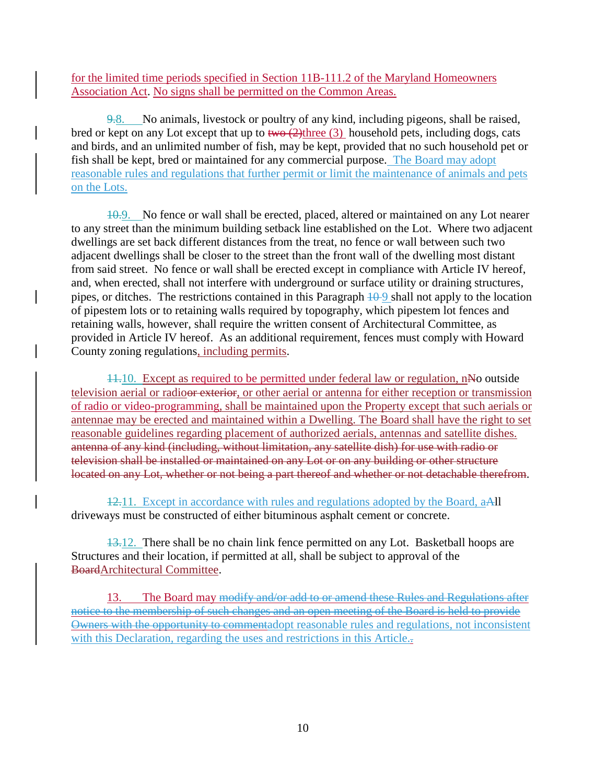for the limited time periods specified in Section 11B-111.2 of the Maryland Homeowners Association Act. No signs shall be permitted on the Common Areas.

9.8. No animals, livestock or poultry of any kind, including pigeons, shall be raised, bred or kept on any Lot except that up to  $two \rightarrow (2)$ three (3) household pets, including dogs, cats and birds, and an unlimited number of fish, may be kept, provided that no such household pet or fish shall be kept, bred or maintained for any commercial purpose. The Board may adopt reasonable rules and regulations that further permit or limit the maintenance of animals and pets on the Lots.

10.9. No fence or wall shall be erected, placed, altered or maintained on any Lot nearer to any street than the minimum building setback line established on the Lot. Where two adjacent dwellings are set back different distances from the treat, no fence or wall between such two adjacent dwellings shall be closer to the street than the front wall of the dwelling most distant from said street. No fence or wall shall be erected except in compliance with Article IV hereof, and, when erected, shall not interfere with underground or surface utility or draining structures, pipes, or ditches. The restrictions contained in this Paragraph  $\frac{10}{9}$  shall not apply to the location of pipestem lots or to retaining walls required by topography, which pipestem lot fences and retaining walls, however, shall require the written consent of Architectural Committee, as provided in Article IV hereof. As an additional requirement, fences must comply with Howard County zoning regulations, including permits.

11.10. Except as required to be permitted under federal law or regulation, nNo outside television aerial or radio<del>or exterior</del>, or other aerial or antenna for either reception or transmission of radio or video-programming, shall be maintained upon the Property except that such aerials or antennae may be erected and maintained within a Dwelling. The Board shall have the right to set reasonable guidelines regarding placement of authorized aerials, antennas and satellite dishes. antenna of any kind (including, without limitation, any satellite dish) for use with radio or television shall be installed or maintained on any Lot or on any building or other structure located on any Lot, whether or not being a part thereof and whether or not detachable therefrom.

12.11. Except in accordance with rules and regulations adopted by the Board, aAll driveways must be constructed of either bituminous asphalt cement or concrete.

13.12. There shall be no chain link fence permitted on any Lot. Basketball hoops are Structures and their location, if permitted at all, shall be subject to approval of the BoardArchitectural Committee.

13. The Board may modify and/or add to or amend these Rules and Regulations after notice to the membership of such changes and an open meeting of the Board is held to provide Owners with the opportunity to commentadopt reasonable rules and regulations, not inconsistent with this Declaration, regarding the uses and restrictions in this Article...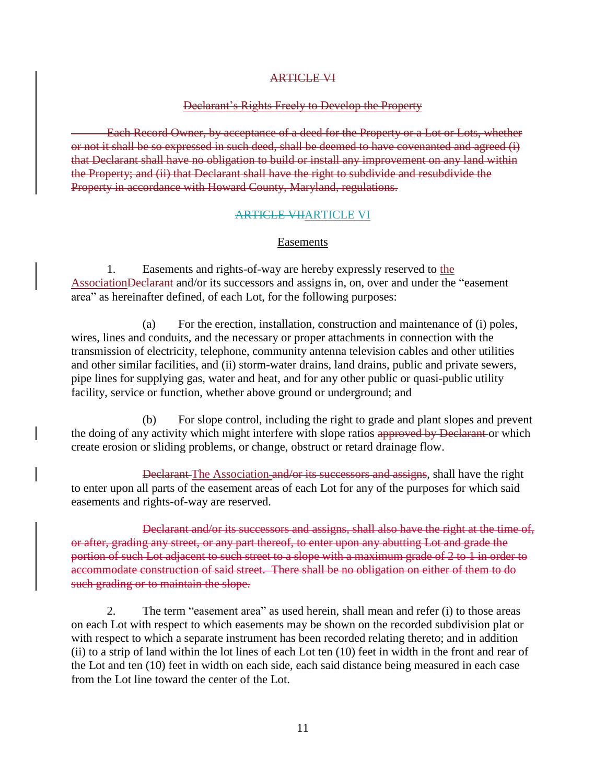#### ARTICLE VI

#### Declarant's Rights Freely to Develop the Property

Each Record Owner, by acceptance of a deed for the Property or a Lot or Lots, whether or not it shall be so expressed in such deed, shall be deemed to have covenanted and agreed (i) that Declarant shall have no obligation to build or install any improvement on any land within the Property; and (ii) that Declarant shall have the right to subdivide and resubdivide the Property in accordance with Howard County, Maryland, regulations.

#### ARTICLE VIIARTICLE VI

#### Easements

1. Easements and rights-of-way are hereby expressly reserved to the AssociationDeclarant and/or its successors and assigns in, on, over and under the "easement area" as hereinafter defined, of each Lot, for the following purposes:

(a) For the erection, installation, construction and maintenance of (i) poles, wires, lines and conduits, and the necessary or proper attachments in connection with the transmission of electricity, telephone, community antenna television cables and other utilities and other similar facilities, and (ii) storm-water drains, land drains, public and private sewers, pipe lines for supplying gas, water and heat, and for any other public or quasi-public utility facility, service or function, whether above ground or underground; and

(b) For slope control, including the right to grade and plant slopes and prevent the doing of any activity which might interfere with slope ratios approved by Declarant or which create erosion or sliding problems, or change, obstruct or retard drainage flow.

Declarant The Association and/or its successors and assigns, shall have the right to enter upon all parts of the easement areas of each Lot for any of the purposes for which said easements and rights-of-way are reserved.

Declarant and/or its successors and assigns, shall also have the right at the time of, or after, grading any street, or any part thereof, to enter upon any abutting Lot and grade the portion of such Lot adjacent to such street to a slope with a maximum grade of 2 to 1 in order to accommodate construction of said street. There shall be no obligation on either of them to do such grading or to maintain the slope.

2. The term "easement area" as used herein, shall mean and refer (i) to those areas on each Lot with respect to which easements may be shown on the recorded subdivision plat or with respect to which a separate instrument has been recorded relating thereto; and in addition (ii) to a strip of land within the lot lines of each Lot ten (10) feet in width in the front and rear of the Lot and ten (10) feet in width on each side, each said distance being measured in each case from the Lot line toward the center of the Lot.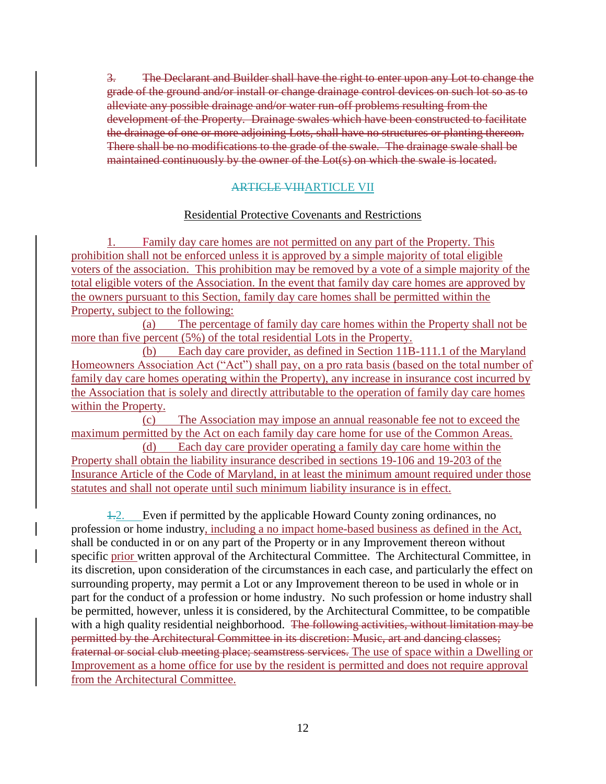3. The Declarant and Builder shall have the right to enter upon any Lot to change the grade of the ground and/or install or change drainage control devices on such lot so as to alleviate any possible drainage and/or water run-off problems resulting from the development of the Property. Drainage swales which have been constructed to facilitate the drainage of one or more adjoining Lots, shall have no structures or planting thereon. There shall be no modifications to the grade of the swale. The drainage swale shall be maintained continuously by the owner of the Lot(s) on which the swale is located.

### ARTICLE VIIIARTICLE VII

### Residential Protective Covenants and Restrictions

Family day care homes are not permitted on any part of the Property. This prohibition shall not be enforced unless it is approved by a simple majority of total eligible voters of the association. This prohibition may be removed by a vote of a simple majority of the total eligible voters of the Association. In the event that family day care homes are approved by the owners pursuant to this Section, family day care homes shall be permitted within the Property, subject to the following:

(a) The percentage of family day care homes within the Property shall not be more than five percent (5%) of the total residential Lots in the Property.

(b) Each day care provider, as defined in Section 11B-111.1 of the Maryland Homeowners Association Act ("Act") shall pay, on a pro rata basis (based on the total number of family day care homes operating within the Property), any increase in insurance cost incurred by the Association that is solely and directly attributable to the operation of family day care homes within the Property.

(c) The Association may impose an annual reasonable fee not to exceed the maximum permitted by the Act on each family day care home for use of the Common Areas.

(d) Each day care provider operating a family day care home within the Property shall obtain the liability insurance described in sections 19-106 and 19-203 of the Insurance Article of the Code of Maryland, in at least the minimum amount required under those statutes and shall not operate until such minimum liability insurance is in effect.

1.2. Even if permitted by the applicable Howard County zoning ordinances, no profession or home industry, including a no impact home-based business as defined in the Act, shall be conducted in or on any part of the Property or in any Improvement thereon without specific prior written approval of the Architectural Committee. The Architectural Committee, in its discretion, upon consideration of the circumstances in each case, and particularly the effect on surrounding property, may permit a Lot or any Improvement thereon to be used in whole or in part for the conduct of a profession or home industry. No such profession or home industry shall be permitted, however, unless it is considered, by the Architectural Committee, to be compatible with a high quality residential neighborhood. The following activities, without limitation may be permitted by the Architectural Committee in its discretion: Music, art and dancing classes; fraternal or social club meeting place; seamstress services. The use of space within a Dwelling or Improvement as a home office for use by the resident is permitted and does not require approval from the Architectural Committee.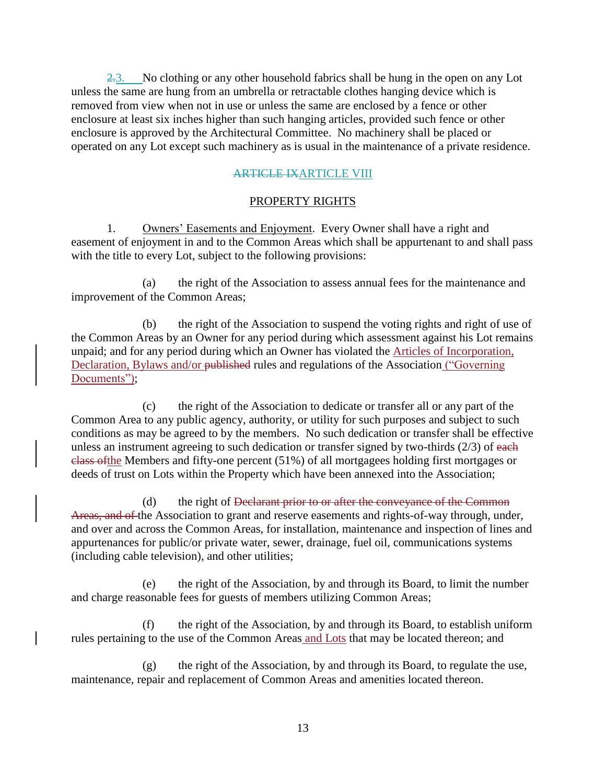$2.3$ . No clothing or any other household fabrics shall be hung in the open on any Lot unless the same are hung from an umbrella or retractable clothes hanging device which is removed from view when not in use or unless the same are enclosed by a fence or other enclosure at least six inches higher than such hanging articles, provided such fence or other enclosure is approved by the Architectural Committee. No machinery shall be placed or operated on any Lot except such machinery as is usual in the maintenance of a private residence.

### **ARTICLE IXARTICLE VIII**

### PROPERTY RIGHTS

1. Owners' Easements and Enjoyment. Every Owner shall have a right and easement of enjoyment in and to the Common Areas which shall be appurtenant to and shall pass with the title to every Lot, subject to the following provisions:

(a) the right of the Association to assess annual fees for the maintenance and improvement of the Common Areas;

(b) the right of the Association to suspend the voting rights and right of use of the Common Areas by an Owner for any period during which assessment against his Lot remains unpaid; and for any period during which an Owner has violated the Articles of Incorporation, Declaration, Bylaws and/or published rules and regulations of the Association ("Governing Documents");

(c) the right of the Association to dedicate or transfer all or any part of the Common Area to any public agency, authority, or utility for such purposes and subject to such conditions as may be agreed to by the members. No such dedication or transfer shall be effective unless an instrument agreeing to such dedication or transfer signed by two-thirds  $(2/3)$  of each class ofthe Members and fifty-one percent (51%) of all mortgagees holding first mortgages or deeds of trust on Lots within the Property which have been annexed into the Association;

(d) the right of <del>Declarant prior to or after the conveyance of the Common</del> Areas, and of the Association to grant and reserve easements and rights-of-way through, under, and over and across the Common Areas, for installation, maintenance and inspection of lines and appurtenances for public/or private water, sewer, drainage, fuel oil, communications systems (including cable television), and other utilities;

(e) the right of the Association, by and through its Board, to limit the number and charge reasonable fees for guests of members utilizing Common Areas;

(f) the right of the Association, by and through its Board, to establish uniform rules pertaining to the use of the Common Areas and Lots that may be located thereon; and

(g) the right of the Association, by and through its Board, to regulate the use, maintenance, repair and replacement of Common Areas and amenities located thereon.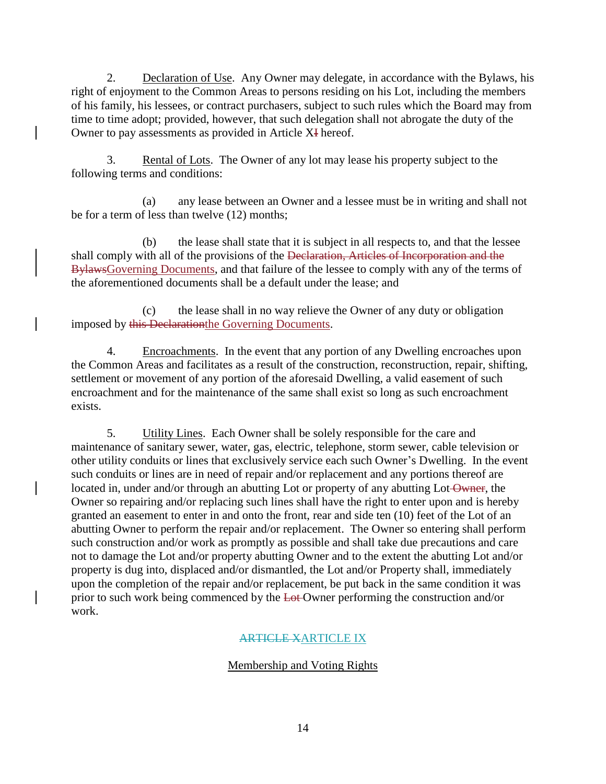2. Declaration of Use. Any Owner may delegate, in accordance with the Bylaws, his right of enjoyment to the Common Areas to persons residing on his Lot, including the members of his family, his lessees, or contract purchasers, subject to such rules which the Board may from time to time adopt; provided, however, that such delegation shall not abrogate the duty of the Owner to pay assessments as provided in Article XI hereof.

3. Rental of Lots. The Owner of any lot may lease his property subject to the following terms and conditions:

(a) any lease between an Owner and a lessee must be in writing and shall not be for a term of less than twelve (12) months;

(b) the lease shall state that it is subject in all respects to, and that the lessee shall comply with all of the provisions of the Declaration, Articles of Incorporation and the BylawsGoverning Documents, and that failure of the lessee to comply with any of the terms of the aforementioned documents shall be a default under the lease; and

(c) the lease shall in no way relieve the Owner of any duty or obligation imposed by this Declarationthe Governing Documents.

4. Encroachments. In the event that any portion of any Dwelling encroaches upon the Common Areas and facilitates as a result of the construction, reconstruction, repair, shifting, settlement or movement of any portion of the aforesaid Dwelling, a valid easement of such encroachment and for the maintenance of the same shall exist so long as such encroachment exists.

5. Utility Lines. Each Owner shall be solely responsible for the care and maintenance of sanitary sewer, water, gas, electric, telephone, storm sewer, cable television or other utility conduits or lines that exclusively service each such Owner's Dwelling. In the event such conduits or lines are in need of repair and/or replacement and any portions thereof are located in, under and/or through an abutting Lot or property of any abutting Lot-Owner, the Owner so repairing and/or replacing such lines shall have the right to enter upon and is hereby granted an easement to enter in and onto the front, rear and side ten (10) feet of the Lot of an abutting Owner to perform the repair and/or replacement. The Owner so entering shall perform such construction and/or work as promptly as possible and shall take due precautions and care not to damage the Lot and/or property abutting Owner and to the extent the abutting Lot and/or property is dug into, displaced and/or dismantled, the Lot and/or Property shall, immediately upon the completion of the repair and/or replacement, be put back in the same condition it was prior to such work being commenced by the Lot Owner performing the construction and/or work.

# ARTICLE XARTICLE IX

# Membership and Voting Rights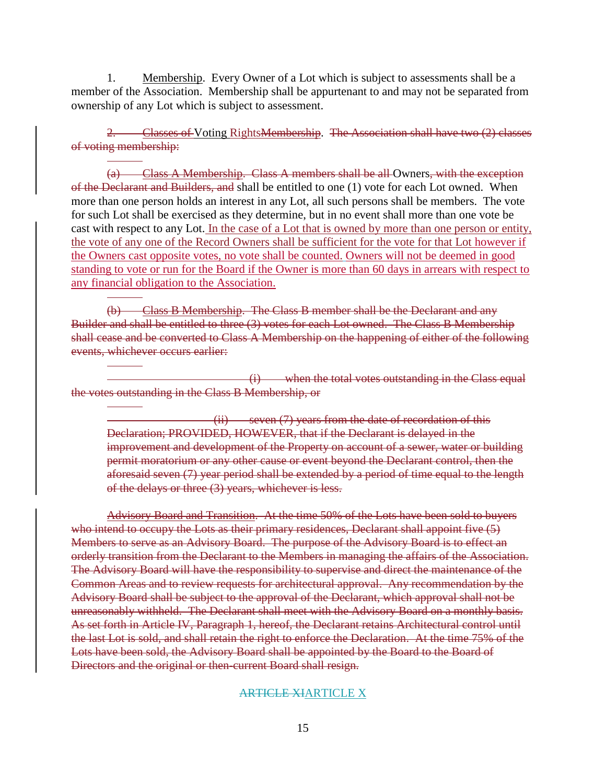1. Membership. Every Owner of a Lot which is subject to assessments shall be a member of the Association. Membership shall be appurtenant to and may not be separated from ownership of any Lot which is subject to assessment.

2. Classes of Voting RightsMembership. The Association shall have two (2) classes of voting membership:

(a) Class A Membership. Class A members shall be all Owners, with the exception of the Declarant and Builders, and shall be entitled to one (1) vote for each Lot owned. When more than one person holds an interest in any Lot, all such persons shall be members. The vote for such Lot shall be exercised as they determine, but in no event shall more than one vote be cast with respect to any Lot. In the case of a Lot that is owned by more than one person or entity, the vote of any one of the Record Owners shall be sufficient for the vote for that Lot however if the Owners cast opposite votes, no vote shall be counted. Owners will not be deemed in good standing to vote or run for the Board if the Owner is more than 60 days in arrears with respect to any financial obligation to the Association.

(b) Class B Membership. The Class B member shall be the Declarant and any Builder and shall be entitled to three (3) votes for each Lot owned. The Class B Membership shall cease and be converted to Class A Membership on the happening of either of the following events, whichever occurs earlier:

(i) when the total votes outstanding in the Class equal the votes outstanding in the Class B Membership, or

(ii) seven (7) years from the date of recordation of this Declaration; PROVIDED, HOWEVER, that if the Declarant is delayed in the improvement and development of the Property on account of a sewer, water or building permit moratorium or any other cause or event beyond the Declarant control, then the aforesaid seven (7) year period shall be extended by a period of time equal to the length of the delays or three (3) years, whichever is less.

Advisory Board and Transition. At the time 50% of the Lots have been sold to buyers who intend to occupy the Lots as their primary residences, Declarant shall appoint five (5) Members to serve as an Advisory Board. The purpose of the Advisory Board is to effect an orderly transition from the Declarant to the Members in managing the affairs of the Association. The Advisory Board will have the responsibility to supervise and direct the maintenance of the Common Areas and to review requests for architectural approval. Any recommendation by the Advisory Board shall be subject to the approval of the Declarant, which approval shall not be unreasonably withheld. The Declarant shall meet with the Advisory Board on a monthly basis. As set forth in Article IV, Paragraph 1, hereof, the Declarant retains Architectural control until the last Lot is sold, and shall retain the right to enforce the Declaration. At the time 75% of the Lots have been sold, the Advisory Board shall be appointed by the Board to the Board of Directors and the original or then-current Board shall resign.

#### ARTICLE XIARTICLE X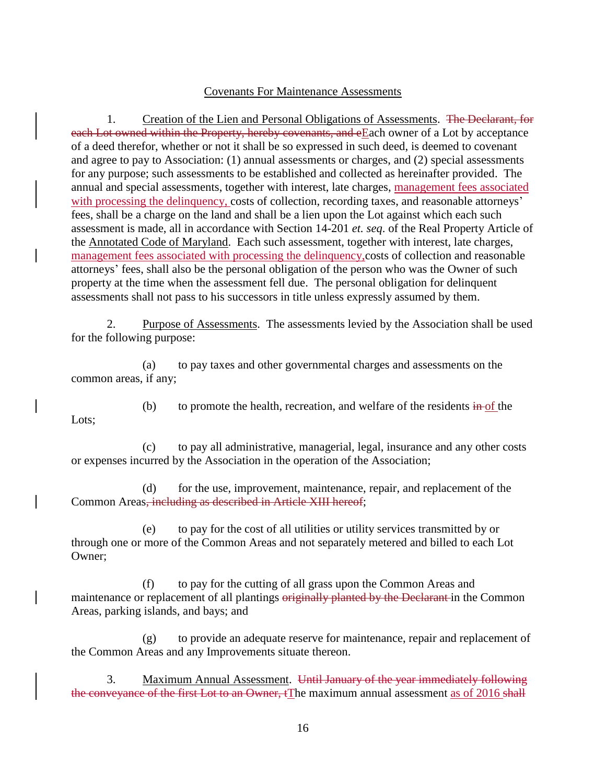#### Covenants For Maintenance Assessments

1. Creation of the Lien and Personal Obligations of Assessments. The Declarant, for each Lot owned within the Property, hereby covenants, and eEach owner of a Lot by acceptance of a deed therefor, whether or not it shall be so expressed in such deed, is deemed to covenant and agree to pay to Association: (1) annual assessments or charges, and (2) special assessments for any purpose; such assessments to be established and collected as hereinafter provided. The annual and special assessments, together with interest, late charges, management fees associated with processing the delinquency, costs of collection, recording taxes, and reasonable attorneys' fees, shall be a charge on the land and shall be a lien upon the Lot against which each such assessment is made, all in accordance with Section 14-201 *et. seq*. of the Real Property Article of the Annotated Code of Maryland. Each such assessment, together with interest, late charges, management fees associated with processing the delinquency,costs of collection and reasonable attorneys' fees, shall also be the personal obligation of the person who was the Owner of such property at the time when the assessment fell due. The personal obligation for delinquent assessments shall not pass to his successors in title unless expressly assumed by them.

2. Purpose of Assessments. The assessments levied by the Association shall be used for the following purpose:

(a) to pay taxes and other governmental charges and assessments on the common areas, if any;

Lots;

(b) to promote the health, recreation, and welfare of the residents  $\frac{\text{in of the}}{\text{in of the}}$ 

(c) to pay all administrative, managerial, legal, insurance and any other costs or expenses incurred by the Association in the operation of the Association;

(d) for the use, improvement, maintenance, repair, and replacement of the Common Areas, including as described in Article XIII hereof;

(e) to pay for the cost of all utilities or utility services transmitted by or through one or more of the Common Areas and not separately metered and billed to each Lot Owner;

(f) to pay for the cutting of all grass upon the Common Areas and maintenance or replacement of all plantings originally planted by the Declarant in the Common Areas, parking islands, and bays; and

(g) to provide an adequate reserve for maintenance, repair and replacement of the Common Areas and any Improvements situate thereon.

3. Maximum Annual Assessment. Until January of the year immediately following the conveyance of the first Lot to an Owner, tThe maximum annual assessment as of 2016 shall

16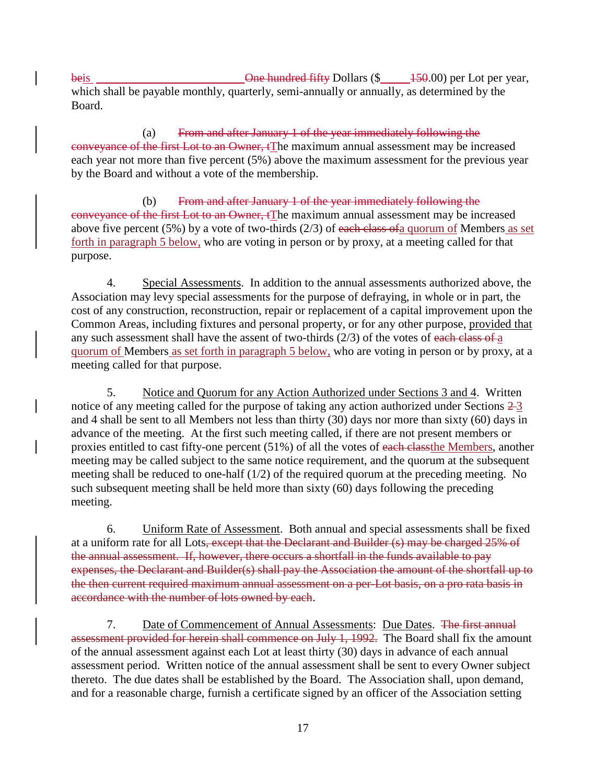beis \_\_\_\_\_\_\_\_\_\_\_\_\_\_\_\_\_\_\_\_\_\_\_\_\_One hundred fifty Dollars (\$\_\_\_\_\_150.00) per Lot per year, which shall be payable monthly, quarterly, semi-annually or annually, as determined by the Board.

(a) From and after January 1 of the year immediately following the conveyance of the first Lot to an Owner, tThe maximum annual assessment may be increased each year not more than five percent (5%) above the maximum assessment for the previous year by the Board and without a vote of the membership.

(b) From and after January 1 of the year immediately following the conveyance of the first Lot to an Owner, tThe maximum annual assessment may be increased above five percent (5%) by a vote of two-thirds (2/3) of each class of a quorum of Members as set forth in paragraph 5 below, who are voting in person or by proxy, at a meeting called for that purpose.

4. Special Assessments. In addition to the annual assessments authorized above, the Association may levy special assessments for the purpose of defraying, in whole or in part, the cost of any construction, reconstruction, repair or replacement of a capital improvement upon the Common Areas, including fixtures and personal property, or for any other purpose, provided that any such assessment shall have the assent of two-thirds  $(2/3)$  of the votes of each class of a quorum of Members as set forth in paragraph 5 below, who are voting in person or by proxy, at a meeting called for that purpose.

5. Notice and Quorum for any Action Authorized under Sections 3 and 4. Written notice of any meeting called for the purpose of taking any action authorized under Sections  $2\text{-}3$ and 4 shall be sent to all Members not less than thirty (30) days nor more than sixty (60) days in advance of the meeting. At the first such meeting called, if there are not present members or proxies entitled to cast fifty-one percent (51%) of all the votes of each classthe Members, another meeting may be called subject to the same notice requirement, and the quorum at the subsequent meeting shall be reduced to one-half (1/2) of the required quorum at the preceding meeting. No such subsequent meeting shall be held more than sixty (60) days following the preceding meeting.

6. Uniform Rate of Assessment. Both annual and special assessments shall be fixed at a uniform rate for all Lots, except that the Declarant and Builder (s) may be charged 25% of the annual assessment. If, however, there occurs a shortfall in the funds available to pay expenses, the Declarant and Builder(s) shall pay the Association the amount of the shortfall up to the then current required maximum annual assessment on a per-Lot basis, on a pro rata basis in accordance with the number of lots owned by each.

7. Date of Commencement of Annual Assessments: Due Dates. The first annual assessment provided for herein shall commence on July 1, 1992. The Board shall fix the amount of the annual assessment against each Lot at least thirty (30) days in advance of each annual assessment period. Written notice of the annual assessment shall be sent to every Owner subject thereto. The due dates shall be established by the Board. The Association shall, upon demand, and for a reasonable charge, furnish a certificate signed by an officer of the Association setting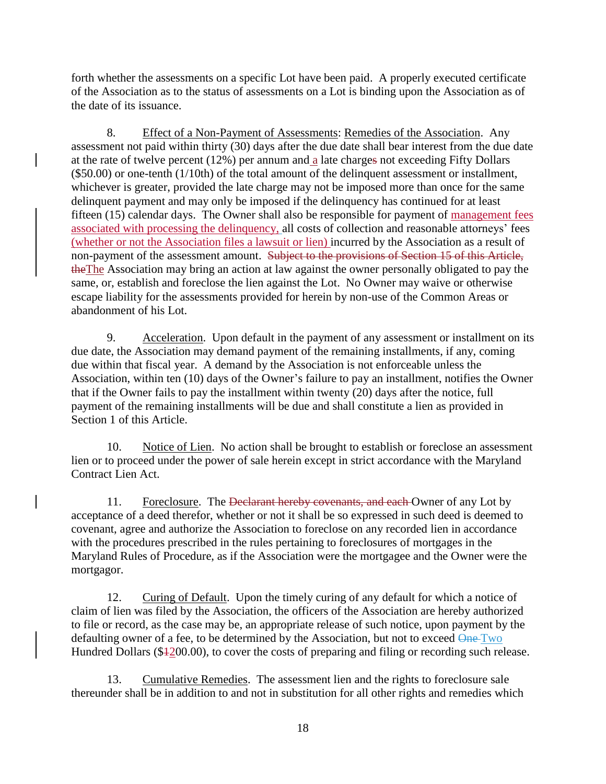forth whether the assessments on a specific Lot have been paid. A properly executed certificate of the Association as to the status of assessments on a Lot is binding upon the Association as of the date of its issuance.

8. Effect of a Non-Payment of Assessments: Remedies of the Association. Any assessment not paid within thirty (30) days after the due date shall bear interest from the due date at the rate of twelve percent (12%) per annum and a late charges not exceeding Fifty Dollars (\$50.00) or one-tenth (1/10th) of the total amount of the delinquent assessment or installment, whichever is greater, provided the late charge may not be imposed more than once for the same delinquent payment and may only be imposed if the delinquency has continued for at least fifteen (15) calendar days. The Owner shall also be responsible for payment of management fees associated with processing the delinquency, all costs of collection and reasonable attorneys' fees (whether or not the Association files a lawsuit or lien) incurred by the Association as a result of non-payment of the assessment amount. Subject to the provisions of Section 15 of this Article, theThe Association may bring an action at law against the owner personally obligated to pay the same, or, establish and foreclose the lien against the Lot. No Owner may waive or otherwise escape liability for the assessments provided for herein by non-use of the Common Areas or abandonment of his Lot.

9. Acceleration. Upon default in the payment of any assessment or installment on its due date, the Association may demand payment of the remaining installments, if any, coming due within that fiscal year. A demand by the Association is not enforceable unless the Association, within ten (10) days of the Owner's failure to pay an installment, notifies the Owner that if the Owner fails to pay the installment within twenty (20) days after the notice, full payment of the remaining installments will be due and shall constitute a lien as provided in Section 1 of this Article.

10. Notice of Lien. No action shall be brought to establish or foreclose an assessment lien or to proceed under the power of sale herein except in strict accordance with the Maryland Contract Lien Act.

11. Foreclosure. The Declarant hereby covenants, and each Owner of any Lot by acceptance of a deed therefor, whether or not it shall be so expressed in such deed is deemed to covenant, agree and authorize the Association to foreclose on any recorded lien in accordance with the procedures prescribed in the rules pertaining to foreclosures of mortgages in the Maryland Rules of Procedure, as if the Association were the mortgagee and the Owner were the mortgagor.

12. Curing of Default. Upon the timely curing of any default for which a notice of claim of lien was filed by the Association, the officers of the Association are hereby authorized to file or record, as the case may be, an appropriate release of such notice, upon payment by the defaulting owner of a fee, to be determined by the Association, but not to exceed  $\Theta_{\text{ne}}$ Two Hundred Dollars (\$4200.00), to cover the costs of preparing and filing or recording such release.

13. Cumulative Remedies. The assessment lien and the rights to foreclosure sale thereunder shall be in addition to and not in substitution for all other rights and remedies which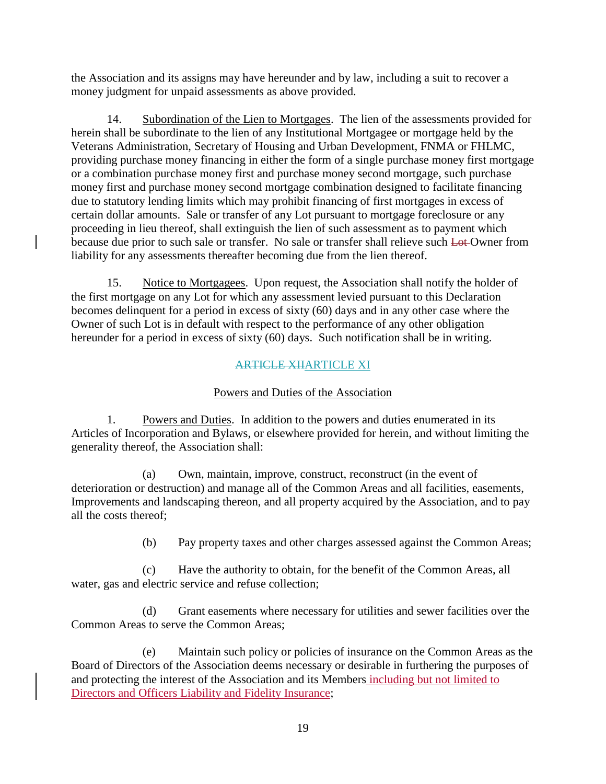the Association and its assigns may have hereunder and by law, including a suit to recover a money judgment for unpaid assessments as above provided.

14. Subordination of the Lien to Mortgages. The lien of the assessments provided for herein shall be subordinate to the lien of any Institutional Mortgagee or mortgage held by the Veterans Administration, Secretary of Housing and Urban Development, FNMA or FHLMC, providing purchase money financing in either the form of a single purchase money first mortgage or a combination purchase money first and purchase money second mortgage, such purchase money first and purchase money second mortgage combination designed to facilitate financing due to statutory lending limits which may prohibit financing of first mortgages in excess of certain dollar amounts. Sale or transfer of any Lot pursuant to mortgage foreclosure or any proceeding in lieu thereof, shall extinguish the lien of such assessment as to payment which because due prior to such sale or transfer. No sale or transfer shall relieve such Lot Owner from liability for any assessments thereafter becoming due from the lien thereof.

15. Notice to Mortgagees. Upon request, the Association shall notify the holder of the first mortgage on any Lot for which any assessment levied pursuant to this Declaration becomes delinquent for a period in excess of sixty (60) days and in any other case where the Owner of such Lot is in default with respect to the performance of any other obligation hereunder for a period in excess of sixty (60) days. Such notification shall be in writing.

# ARTICLE XIIARTICLE XI

# Powers and Duties of the Association

1. Powers and Duties. In addition to the powers and duties enumerated in its Articles of Incorporation and Bylaws, or elsewhere provided for herein, and without limiting the generality thereof, the Association shall:

(a) Own, maintain, improve, construct, reconstruct (in the event of deterioration or destruction) and manage all of the Common Areas and all facilities, easements, Improvements and landscaping thereon, and all property acquired by the Association, and to pay all the costs thereof;

(b) Pay property taxes and other charges assessed against the Common Areas;

(c) Have the authority to obtain, for the benefit of the Common Areas, all water, gas and electric service and refuse collection;

(d) Grant easements where necessary for utilities and sewer facilities over the Common Areas to serve the Common Areas;

(e) Maintain such policy or policies of insurance on the Common Areas as the Board of Directors of the Association deems necessary or desirable in furthering the purposes of and protecting the interest of the Association and its Members including but not limited to Directors and Officers Liability and Fidelity Insurance;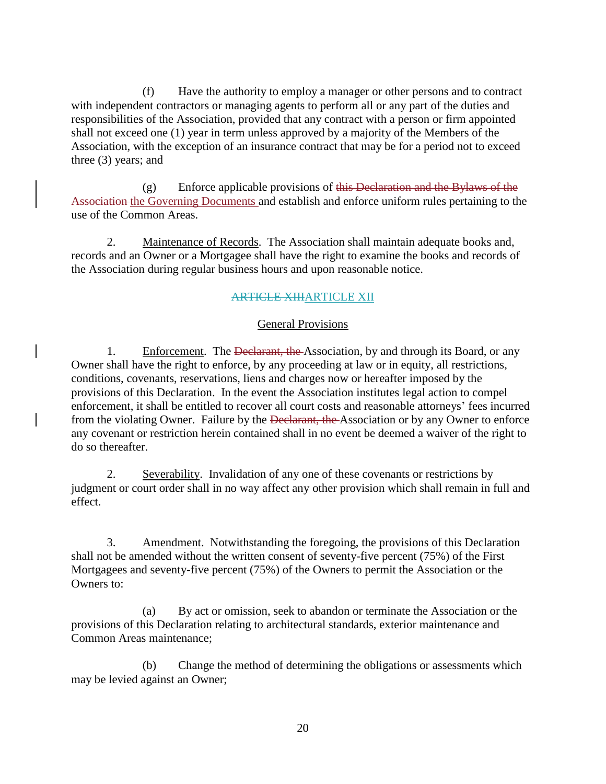(f) Have the authority to employ a manager or other persons and to contract with independent contractors or managing agents to perform all or any part of the duties and responsibilities of the Association, provided that any contract with a person or firm appointed shall not exceed one (1) year in term unless approved by a majority of the Members of the Association, with the exception of an insurance contract that may be for a period not to exceed three (3) years; and

 $(g)$  Enforce applicable provisions of this Declaration and the Bylaws of the Association the Governing Documents and establish and enforce uniform rules pertaining to the use of the Common Areas.

2. Maintenance of Records. The Association shall maintain adequate books and, records and an Owner or a Mortgagee shall have the right to examine the books and records of the Association during regular business hours and upon reasonable notice.

## ARTICLE XIIIARTICLE XII

### General Provisions

1. Enforcement. The Declarant, the Association, by and through its Board, or any Owner shall have the right to enforce, by any proceeding at law or in equity, all restrictions, conditions, covenants, reservations, liens and charges now or hereafter imposed by the provisions of this Declaration. In the event the Association institutes legal action to compel enforcement, it shall be entitled to recover all court costs and reasonable attorneys' fees incurred from the violating Owner. Failure by the <del>Declarant, the Association</del> or by any Owner to enforce any covenant or restriction herein contained shall in no event be deemed a waiver of the right to do so thereafter.

2. Severability. Invalidation of any one of these covenants or restrictions by judgment or court order shall in no way affect any other provision which shall remain in full and effect.

3. Amendment. Notwithstanding the foregoing, the provisions of this Declaration shall not be amended without the written consent of seventy-five percent (75%) of the First Mortgagees and seventy-five percent (75%) of the Owners to permit the Association or the Owners to:

(a) By act or omission, seek to abandon or terminate the Association or the provisions of this Declaration relating to architectural standards, exterior maintenance and Common Areas maintenance;

(b) Change the method of determining the obligations or assessments which may be levied against an Owner;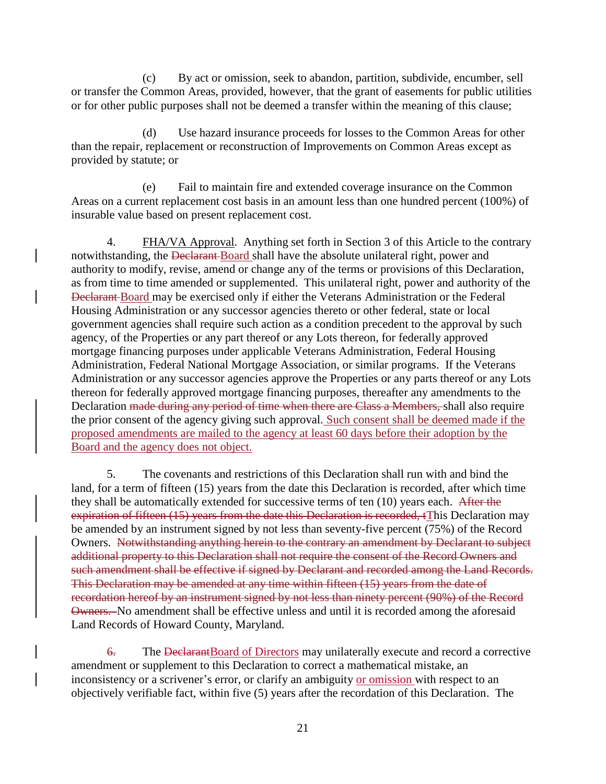(c) By act or omission, seek to abandon, partition, subdivide, encumber, sell or transfer the Common Areas, provided, however, that the grant of easements for public utilities or for other public purposes shall not be deemed a transfer within the meaning of this clause;

(d) Use hazard insurance proceeds for losses to the Common Areas for other than the repair, replacement or reconstruction of Improvements on Common Areas except as provided by statute; or

(e) Fail to maintain fire and extended coverage insurance on the Common Areas on a current replacement cost basis in an amount less than one hundred percent (100%) of insurable value based on present replacement cost.

4. FHA/VA Approval. Anything set forth in Section 3 of this Article to the contrary notwithstanding, the Declarant Board shall have the absolute unilateral right, power and authority to modify, revise, amend or change any of the terms or provisions of this Declaration, as from time to time amended or supplemented. This unilateral right, power and authority of the Declarant Board may be exercised only if either the Veterans Administration or the Federal Housing Administration or any successor agencies thereto or other federal, state or local government agencies shall require such action as a condition precedent to the approval by such agency, of the Properties or any part thereof or any Lots thereon, for federally approved mortgage financing purposes under applicable Veterans Administration, Federal Housing Administration, Federal National Mortgage Association, or similar programs. If the Veterans Administration or any successor agencies approve the Properties or any parts thereof or any Lots thereon for federally approved mortgage financing purposes, thereafter any amendments to the Declaration made during any period of time when there are Class a Members, shall also require the prior consent of the agency giving such approval. Such consent shall be deemed made if the proposed amendments are mailed to the agency at least 60 days before their adoption by the Board and the agency does not object.

5. The covenants and restrictions of this Declaration shall run with and bind the land, for a term of fifteen (15) years from the date this Declaration is recorded, after which time they shall be automatically extended for successive terms of ten (10) years each. After the expiration of fifteen (15) years from the date this Declaration is recorded, tThis Declaration may be amended by an instrument signed by not less than seventy-five percent (75%) of the Record Owners. Notwithstanding anything herein to the contrary an amendment by Declarant to subject additional property to this Declaration shall not require the consent of the Record Owners and such amendment shall be effective if signed by Declarant and recorded among the Land Records. This Declaration may be amended at any time within fifteen (15) years from the date of recordation hereof by an instrument signed by not less than ninety percent (90%) of the Record Owners. No amendment shall be effective unless and until it is recorded among the aforesaid Land Records of Howard County, Maryland.

6. The DeclarantBoard of Directors may unilaterally execute and record a corrective amendment or supplement to this Declaration to correct a mathematical mistake, an inconsistency or a scrivener's error, or clarify an ambiguity or omission with respect to an objectively verifiable fact, within five (5) years after the recordation of this Declaration. The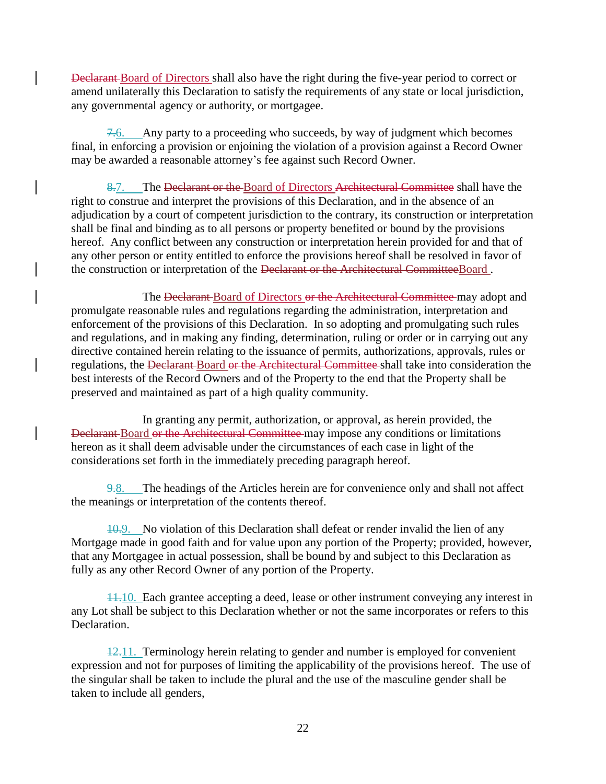Declarant Board of Directors shall also have the right during the five-year period to correct or amend unilaterally this Declaration to satisfy the requirements of any state or local jurisdiction, any governmental agency or authority, or mortgagee.

7.6. Any party to a proceeding who succeeds, by way of judgment which becomes final, in enforcing a provision or enjoining the violation of a provision against a Record Owner may be awarded a reasonable attorney's fee against such Record Owner.

8.7. The Declarant or the Board of Directors Architectural Committee shall have the right to construe and interpret the provisions of this Declaration, and in the absence of an adjudication by a court of competent jurisdiction to the contrary, its construction or interpretation shall be final and binding as to all persons or property benefited or bound by the provisions hereof. Any conflict between any construction or interpretation herein provided for and that of any other person or entity entitled to enforce the provisions hereof shall be resolved in favor of the construction or interpretation of the <del>Declarant or the Architectural Committee</del>Board.

The Declarant Board of Directors or the Architectural Committee may adopt and promulgate reasonable rules and regulations regarding the administration, interpretation and enforcement of the provisions of this Declaration. In so adopting and promulgating such rules and regulations, and in making any finding, determination, ruling or order or in carrying out any directive contained herein relating to the issuance of permits, authorizations, approvals, rules or regulations, the Declarant Board or the Architectural Committee shall take into consideration the best interests of the Record Owners and of the Property to the end that the Property shall be preserved and maintained as part of a high quality community.

In granting any permit, authorization, or approval, as herein provided, the Declarant Board or the Architectural Committee may impose any conditions or limitations hereon as it shall deem advisable under the circumstances of each case in light of the considerations set forth in the immediately preceding paragraph hereof.

9.8. The headings of the Articles herein are for convenience only and shall not affect the meanings or interpretation of the contents thereof.

10.9. No violation of this Declaration shall defeat or render invalid the lien of any Mortgage made in good faith and for value upon any portion of the Property; provided, however, that any Mortgagee in actual possession, shall be bound by and subject to this Declaration as fully as any other Record Owner of any portion of the Property.

11.10. Each grantee accepting a deed, lease or other instrument conveying any interest in any Lot shall be subject to this Declaration whether or not the same incorporates or refers to this Declaration.

12.11. Terminology herein relating to gender and number is employed for convenient expression and not for purposes of limiting the applicability of the provisions hereof. The use of the singular shall be taken to include the plural and the use of the masculine gender shall be taken to include all genders,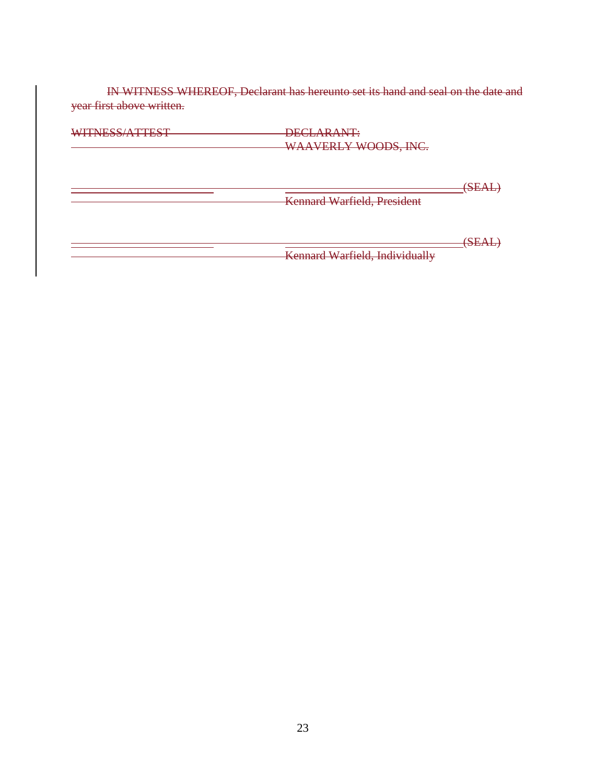IN WITNESS WHEREOF, Declarant has hereunto set its hand and seal on the date and year first above written.

| WITNESS/ATTEST | DECLARANT:<br>WAAVERLY WOODS, INC. |                               |
|----------------|------------------------------------|-------------------------------|
|                | <b>Kennard Warfield, President</b> | $\overline{\bf CEA}$<br>DE TE |
|                | Kennard Warfield, Individually     | 'SEA<br>, שנת זכולו           |